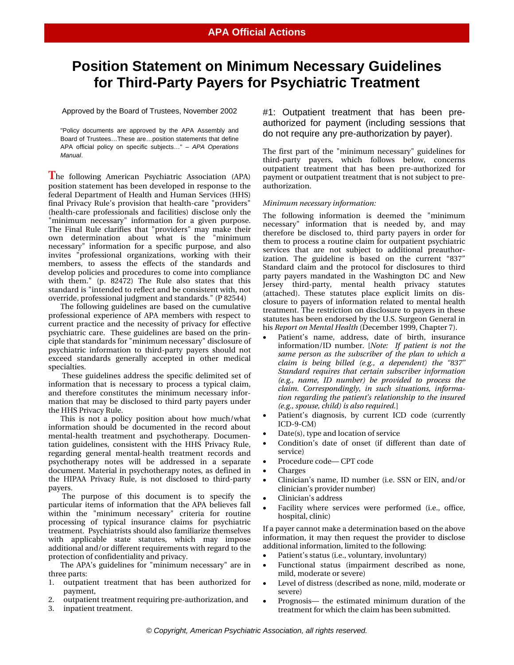# **Position Statement on Minimum Necessary Guidelines for Third-Party Payers for Psychiatric Treatment**

Approved by the Board of Trustees, November 2002

"Policy documents are approved by the APA Assembly and Board of Trustees…These are…position statements that define APA official policy on specific subjects…" – *APA Operations Manual*.

**T**he following American Psychiatric Association (APA) position statement has been developed in response to the federal Department of Health and Human Services (HHS) final Privacy Rule's provision that health-care "providers" (health-care professionals and facilities) disclose only the "minimum necessary" information for a given purpose. The Final Rule clarifies that "providers" may make their own determination about what is the "minimum necessary" information for a specific purpose, and also invites "professional organizations, working with their members, to assess the effects of the standards and develop policies and procedures to come into compliance with them." (p. 82472) The Rule also states that this standard is "intended to reflect and be consistent with, not override, professional judgment and standards." (P 82544)

The following guidelines are based on the cumulative professional experience of APA members with respect to current practice and the necessity of privacy for effective psychiatric care. These guidelines are based on the principle that standards for "minimum necessary" disclosure of psychiatric information to third-party payers should not exceed standards generally accepted in other medical specialties.

 These guidelines address the specific delimited set of information that is necessary to process a typical claim, and therefore constitutes the minimum necessary information that may be disclosed to third party payers under the HHS Privacy Rule.

This is not a policy position about how much/what information should be documented in the record about mental-health treatment and psychotherapy. Documentation guidelines, consistent with the HHS Privacy Rule, regarding general mental-health treatment records and psychotherapy notes will be addressed in a separate document. Material in psychotherapy notes, as defined in the HIPAA Privacy Rule, is not disclosed to third-party payers.

 The purpose of this document is to specify the particular items of information that the APA believes fall within the "minimum necessary" criteria for routine processing of typical insurance claims for psychiatric treatment. Psychiatrists should also familiarize themselves with applicable state statutes, which may impose additional and/or different requirements with regard to the protection of confidentiality and privacy.

The APA's guidelines for "minimum necessary" are in three parts:

- 1. outpatient treatment that has been authorized for payment,
- 2. outpatient treatment requiring pre-authorization, and
- 3. inpatient treatment.

#1: Outpatient treatment that has been preauthorized for payment (including sessions that do not require any pre-authorization by payer).

The first part of the "minimum necessary" guidelines for third-party payers, which follows below, concerns outpatient treatment that has been pre-authorized for payment or outpatient treatment that is not subject to preauthorization.

## *Minimum necessary information:*

The following information is deemed the "minimum necessary" information that is needed by, and may therefore be disclosed to, third party payers in order for them to process a routine claim for outpatient psychiatric services that are not subject to additional preauthorization. The guideline is based on the current "837" Standard claim and the protocol for disclosures to third party payers mandated in the Washington DC and New Jersey third-party, mental health privacy statutes (attached). These statutes place explicit limits on disclosure to payers of information related to mental health treatment. The restriction on disclosure to payers in these statutes has been endorsed by the U.S. Surgeon General in his *Report on Mental Health* (December 1999, Chapter 7).

- Patient's name, address, date of birth, insurance information/ID number. [*Note: If patient is not the same person as the subscriber of the plan to which a claim is being billed (e.g., a dependent) the "837" Standard requires that certain subscriber information (e.g., name, ID number) be provided to process the claim. Correspondingly, in such situations, information regarding the patient's relationship to the insured (e.g., spouse, child) is also required.*]
- Patient's diagnosis, by current ICD code (currently ICD-9-CM)
- Date(s), type and location of service
- Condition's date of onset (if different than date of service)
- Procedure code— CPT code
- Charges
- Clinician's name, ID number (i.e. SSN or EIN, and/or clinician's provider number)
- Clinician's address
- Facility where services were performed (i.e., office, hospital, clinic)

If a payer cannot make a determination based on the above information, it may then request the provider to disclose additional information, limited to the following:

- Patient's status (i.e., voluntary, involuntary)
- Functional status (impairment described as none, mild, moderate or severe)
- Level of distress (described as none, mild, moderate or severe)
- Prognosis— the estimated minimum duration of the treatment for which the claim has been submitted.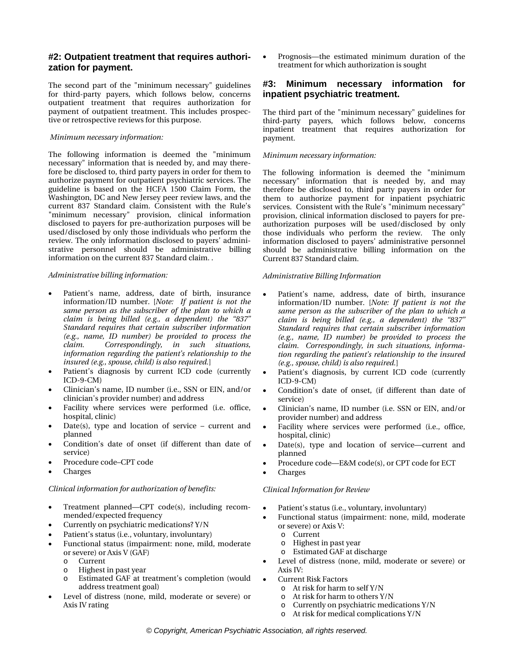# **#2: Outpatient treatment that requires authorization for payment.**

The second part of the "minimum necessary" guidelines for third-party payers, which follows below, concerns outpatient treatment that requires authorization for payment of outpatient treatment. This includes prospective or retrospective reviews for this purpose.

## *Minimum necessary information:*

The following information is deemed the "minimum necessary" information that is needed by, and may therefore be disclosed to, third party payers in order for them to authorize payment for outpatient psychiatric services. The guideline is based on the HCFA 1500 Claim Form, the Washington, DC and New Jersey peer review laws, and the current 837 Standard claim. Consistent with the Rule's "minimum necessary" provision, clinical information disclosed to payers for pre-authorization purposes will be used/disclosed by only those individuals who perform the review. The only information disclosed to payers' administrative personnel should be administrative billing information on the current 837 Standard claim. .

## *Administrative billing information:*

- Patient's name, address, date of birth, insurance information/ID number. [*Note: If patient is not the same person as the subscriber of the plan to which a claim is being billed (e.g., a dependent) the "837" Standard requires that certain subscriber information (e.g., name, ID number) be provided to process the claim. Correspondingly, in such situations, information regarding the patient's relationship to the insured (e.g., spouse, child) is also required.*]
- Patient's diagnosis by current ICD code (currently ICD-9-CM)
- Clinician's name, ID number (i.e., SSN or EIN, and/or clinician's provider number) and address
- Facility where services were performed (i.e. office, hospital, clinic)
- Date(s), type and location of service current and planned
- Condition's date of onset (if different than date of service)
- Procedure code–CPT code
- Charges

## *Clinical information for authorization of benefits:*

- Treatment planned—CPT code(s), including recommended/expected frequency
- Currently on psychiatric medications? Y/N
- Patient's status (i.e., voluntary, involuntary)
- Functional status (impairment: none, mild, moderate or severe) or Axis V (GAF)
	- o Current
	- o Highest in past year
	- o Estimated GAF at treatment's completion (would address treatment goal)
- Level of distress (none, mild, moderate or severe) or Axis IV rating

 Prognosis—the estimated minimum duration of the treatment for which authorization is sought

## **#3: Minimum necessary information for inpatient psychiatric treatment.**

The third part of the "minimum necessary" guidelines for third-party payers, which follows below, concerns inpatient treatment that requires authorization for payment.

#### *Minimum necessary information:*

The following information is deemed the "minimum necessary" information that is needed by, and may therefore be disclosed to, third party payers in order for them to authorize payment for inpatient psychiatric services. Consistent with the Rule's "minimum necessary" provision, clinical information disclosed to payers for preauthorization purposes will be used/disclosed by only those individuals who perform the review. The only information disclosed to payers' administrative personnel should be administrative billing information on the Current 837 Standard claim.

### *Administrative Billing Information*

- Patient's name, address, date of birth, insurance information/ID number. [*Note: If patient is not the same person as the subscriber of the plan to which a claim is being billed (e.g., a dependent) the "837" Standard requires that certain subscriber information (e.g., name, ID number) be provided to process the claim. Correspondingly, in such situations, information regarding the patient's relationship to the insured (e.g., spouse, child) is also required.*]
- Patient's diagnosis, by current ICD code (currently ICD-9-CM)
- Condition's date of onset, (if different than date of service)
- Clinician's name, ID number (i.e. SSN or EIN, and/or provider number) and address
- Facility where services were performed (i.e., office, hospital, clinic)
- Date(s), type and location of service—current and planned
- Procedure code—E&M code(s), or CPT code for ECT
- Charges

## *Clinical Information for Review*

- Patient's status (i.e., voluntary, involuntary)
- Functional status (impairment: none, mild, moderate or severe) or Axis V:
	- o Current
	- o Highest in past year
	- o Estimated GAF at discharge
- Level of distress (none, mild, moderate or severe) or Axis IV:
- Current Risk Factors
	- o At risk for harm to self Y/N
	- o At risk for harm to others Y/N
	- o Currently on psychiatric medications Y/N
	- o At risk for medical complications Y/N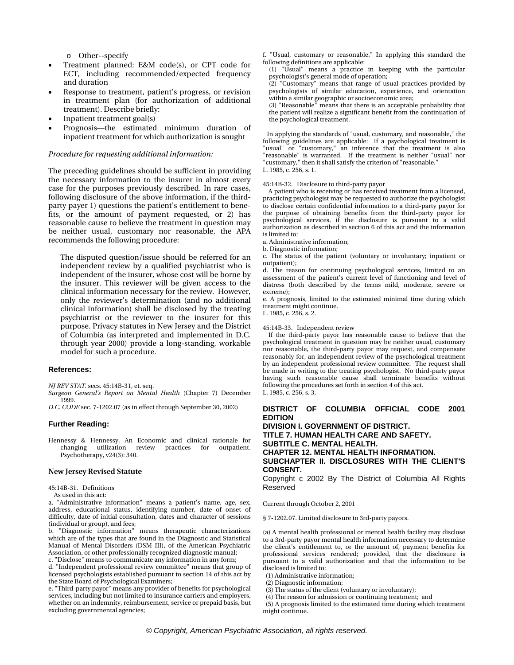o Other--specify

- Treatment planned: E&M code(s), or CPT code for ECT, including recommended/expected frequency and duration
- Response to treatment, patient's progress, or revision in treatment plan (for authorization of additional treatment). Describe briefly:
- Inpatient treatment goal(s)
- Prognosis—the estimated minimum duration of inpatient treatment for which authorization is sought

#### *Procedure for requesting additional information:*

The preceding guidelines should be sufficient in providing the necessary information to the insurer in almost every case for the purposes previously described. In rare cases, following disclosure of the above information, if the thirdparty payer 1) questions the patient's entitlement to benefits, or the amount of payment requested, or 2) has reasonable cause to believe the treatment in question may be neither usual, customary nor reasonable, the APA recommends the following procedure:

The disputed question/issue should be referred for an independent review by a qualified psychiatrist who is independent of the insurer, whose cost will be borne by the insurer. This reviewer will be given access to the clinical information necessary for the review. However, only the reviewer's determination (and no additional clinical information) shall be disclosed by the treating psychiatrist or the reviewer to the insurer for this purpose. Privacy statutes in New Jersey and the District of Columbia (as interpreted and implemented in D.C. through year 2000) provide a long-standing, workable model for such a procedure.

#### **References:**

*NJ REV STAT*. secs. 45:14B-31, et. seq.

*Surgeon General's Report on Mental Health* (Chapter 7) December 1999.

*D.C. CODE* sec. 7-1202.07 (as in effect through September 30, 2002)

#### **Further Reading:**

Hennessy & Hennessy, An Economic and clinical rationale for changing utilization review Psychotherapy, v24(3): 340.

#### **New Jersey Revised Statute**

45:14B-31. Definitions

As used in this act:

a. "Administrative information" means a patient's name, age, sex, address, educational status, identifying number, date of onset of difficulty, date of initial consultation, dates and character of sessions (individual or group), and fees;

b. "Diagnostic information" means therapeutic characterizations which are of the types that are found in the Diagnostic and Statistical Manual of Mental Disorders (DSM III), of the American Psychiatric Association, or other professionally recognized diagnostic manual;

c. "Disclose" means to communicate any information in any form;

d. "Independent professional review committee" means that group of licensed psychologists established pursuant to section 14 of this act by the State Board of Psychological Examiners;

e. "Third-party payor" means any provider of benefits for psychological services, including but not limited to insurance carriers and employers, whether on an indemnity, reimbursement, service or prepaid basis, but excluding governmental agencies;

f. "Usual, customary or reasonable." In applying this standard the following definitions are applicable:

(1) "Usual" means a practice in keeping with the particular psychologist's general mode of operation;<br>(2) "Customary" means that range of us

"Customary" means that range of usual practices provided by psychologists of similar education, experience, and orientation within a similar geographic or socioeconomic area;

(3) "Reasonable" means that there is an acceptable probability that the patient will realize a significant benefit from the continuation of the psychological treatment.

 In applying the standards of "usual, customary, and reasonable," the following guidelines are applicable: If a psychological treatment is "usual" or "customary," an inference that the treatment is also "reasonable" is warranted. If the treatment is neither "usual" nor "customary," then it shall satisfy the criterion of "reasonable." L. 1985, c. 256, s. 1.

#### 45:14B-32. Disclosure to third-party payor

 A patient who is receiving or has received treatment from a licensed, practicing psychologist may be requested to authorize the psychologist to disclose certain confidential information to a third-party payor for the purpose of obtaining benefits from the third-party payor for psychological services, if the disclosure is pursuant to a valid authorization as described in section 6 of this act and the information is limited to:

- a. Administrative information;
- b. Diagnostic information;

c. The status of the patient (voluntary or involuntary; inpatient or outpatient);

d. The reason for continuing psychological services, limited to an assessment of the patient's current level of functioning and level of distress (both described by the terms mild, moderate, severe or extreme);

e. A prognosis, limited to the estimated minimal time during which treatment might continue.

L. 1985, c. 256, s. 2.

#### 45:14B-33. Independent review

 If the third-party payor has reasonable cause to believe that the psychological treatment in question may be neither usual, customary nor reasonable, the third-party payor may request, and compensate reasonably for, an independent review of the psychological treatment by an independent professional review committee. The request shall be made in writing to the treating psychologist. No third-party payor having such reasonable cause shall terminate benefits without following the procedures set forth in section 4 of this act. L. 1985, c. 256, s. 3.

#### **DISTRICT OF COLUMBIA OFFICIAL CODE 2001 EDITION DIVISION I. GOVERNMENT OF DISTRICT.**

**TITLE 7. HUMAN HEALTH CARE AND SAFETY. SUBTITLE C. MENTAL HEALTH. CHAPTER 12. MENTAL HEALTH INFORMATION. SUBCHAPTER II. DISCLOSURES WITH THE CLIENT'S CONSENT.**

Copyright c 2002 By The District of Columbia All Rights Reserved

Current through October 2, 2001

§ 7-1202.07. Limited disclosure to 3rd-party payors.

(a) A mental health professional or mental health facility may disclose to a 3rd-party payor mental health information necessary to determine the client's entitlement to, or the amount of, payment benefits for professional services rendered; provided, that the disclosure is pursuant to a valid authorization and that the information to be disclosed is limited to:

(1) Administrative information;

(2) Diagnostic information;

(3) The status of the client (voluntary or involuntary);

(4) The reason for admission or continuing treatment; and

 (5) A prognosis limited to the estimated time during which treatment might continue.